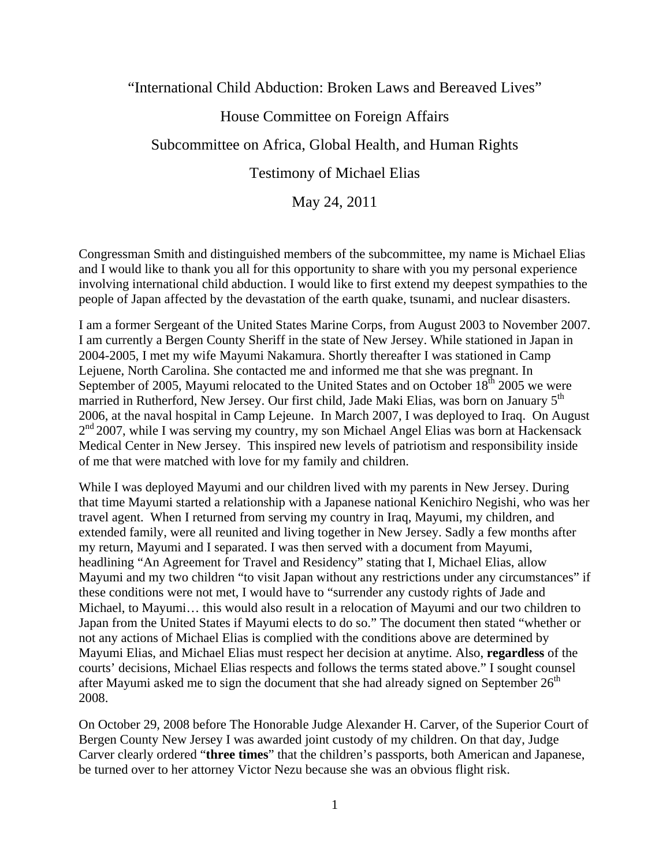"International Child Abduction: Broken Laws and Bereaved Lives"

# House Committee on Foreign Affairs

# Subcommittee on Africa, Global Health, and Human Rights

## Testimony of Michael Elias

# May 24, 2011

Congressman Smith and distinguished members of the subcommittee, my name is Michael Elias and I would like to thank you all for this opportunity to share with you my personal experience involving international child abduction. I would like to first extend my deepest sympathies to the people of Japan affected by the devastation of the earth quake, tsunami, and nuclear disasters.

I am a former Sergeant of the United States Marine Corps, from August 2003 to November 2007. I am currently a Bergen County Sheriff in the state of New Jersey. While stationed in Japan in 2004-2005, I met my wife Mayumi Nakamura. Shortly thereafter I was stationed in Camp Lejuene, North Carolina. She contacted me and informed me that she was pregnant. In September of 2005, Mayumi relocated to the United States and on October  $18<sup>th</sup>$  2005 we were married in Rutherford, New Jersey. Our first child, Jade Maki Elias, was born on January 5<sup>th</sup> 2006, at the naval hospital in Camp Lejeune. In March 2007, I was deployed to Iraq. On August  $2<sup>nd</sup>$  2007, while I was serving my country, my son Michael Angel Elias was born at Hackensack Medical Center in New Jersey. This inspired new levels of patriotism and responsibility inside of me that were matched with love for my family and children.

While I was deployed Mayumi and our children lived with my parents in New Jersey. During that time Mayumi started a relationship with a Japanese national Kenichiro Negishi, who was her travel agent. When I returned from serving my country in Iraq, Mayumi, my children, and extended family, were all reunited and living together in New Jersey. Sadly a few months after my return, Mayumi and I separated. I was then served with a document from Mayumi, headlining "An Agreement for Travel and Residency" stating that I, Michael Elias, allow Mayumi and my two children "to visit Japan without any restrictions under any circumstances" if these conditions were not met, I would have to "surrender any custody rights of Jade and Michael, to Mayumi… this would also result in a relocation of Mayumi and our two children to Japan from the United States if Mayumi elects to do so." The document then stated "whether or not any actions of Michael Elias is complied with the conditions above are determined by Mayumi Elias, and Michael Elias must respect her decision at anytime. Also, **regardless** of the courts' decisions, Michael Elias respects and follows the terms stated above." I sought counsel after Mayumi asked me to sign the document that she had already signed on September  $26<sup>th</sup>$ 2008.

On October 29, 2008 before The Honorable Judge Alexander H. Carver, of the Superior Court of Bergen County New Jersey I was awarded joint custody of my children. On that day, Judge Carver clearly ordered "**three times**" that the children's passports, both American and Japanese, be turned over to her attorney Victor Nezu because she was an obvious flight risk.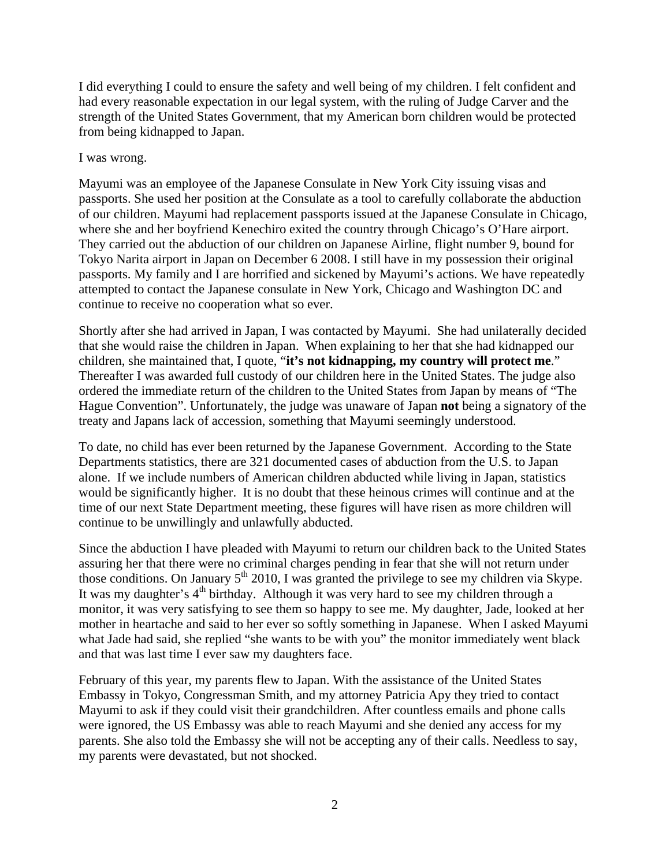I did everything I could to ensure the safety and well being of my children. I felt confident and had every reasonable expectation in our legal system, with the ruling of Judge Carver and the strength of the United States Government, that my American born children would be protected from being kidnapped to Japan.

#### I was wrong.

Mayumi was an employee of the Japanese Consulate in New York City issuing visas and passports. She used her position at the Consulate as a tool to carefully collaborate the abduction of our children. Mayumi had replacement passports issued at the Japanese Consulate in Chicago, where she and her boyfriend Kenechiro exited the country through Chicago's O'Hare airport. They carried out the abduction of our children on Japanese Airline, flight number 9, bound for Tokyo Narita airport in Japan on December 6 2008. I still have in my possession their original passports. My family and I are horrified and sickened by Mayumi's actions. We have repeatedly attempted to contact the Japanese consulate in New York, Chicago and Washington DC and continue to receive no cooperation what so ever.

Shortly after she had arrived in Japan, I was contacted by Mayumi. She had unilaterally decided that she would raise the children in Japan. When explaining to her that she had kidnapped our children, she maintained that, I quote, "**it's not kidnapping, my country will protect me**." Thereafter I was awarded full custody of our children here in the United States. The judge also ordered the immediate return of the children to the United States from Japan by means of "The Hague Convention". Unfortunately, the judge was unaware of Japan **not** being a signatory of the treaty and Japans lack of accession, something that Mayumi seemingly understood.

To date, no child has ever been returned by the Japanese Government. According to the State Departments statistics, there are 321 documented cases of abduction from the U.S. to Japan alone. If we include numbers of American children abducted while living in Japan, statistics would be significantly higher. It is no doubt that these heinous crimes will continue and at the time of our next State Department meeting, these figures will have risen as more children will continue to be unwillingly and unlawfully abducted.

Since the abduction I have pleaded with Mayumi to return our children back to the United States assuring her that there were no criminal charges pending in fear that she will not return under those conditions. On January 5<sup>th</sup> 2010, I was granted the privilege to see my children via Skype. It was my daughter's 4<sup>th</sup> birthday. Although it was very hard to see my children through a monitor, it was very satisfying to see them so happy to see me. My daughter, Jade, looked at her mother in heartache and said to her ever so softly something in Japanese. When I asked Mayumi what Jade had said, she replied "she wants to be with you" the monitor immediately went black and that was last time I ever saw my daughters face.

February of this year, my parents flew to Japan. With the assistance of the United States Embassy in Tokyo, Congressman Smith, and my attorney Patricia Apy they tried to contact Mayumi to ask if they could visit their grandchildren. After countless emails and phone calls were ignored, the US Embassy was able to reach Mayumi and she denied any access for my parents. She also told the Embassy she will not be accepting any of their calls. Needless to say, my parents were devastated, but not shocked.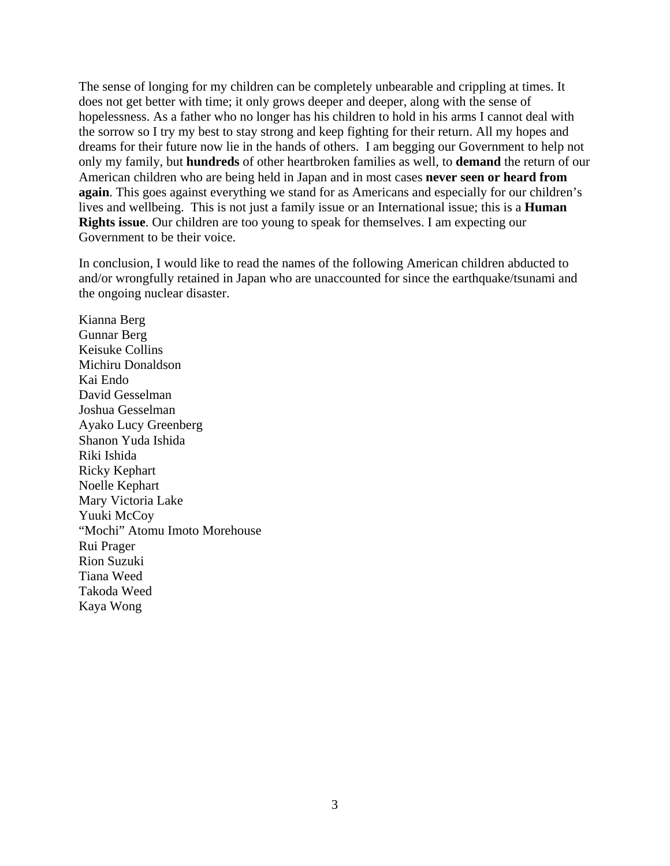The sense of longing for my children can be completely unbearable and crippling at times. It does not get better with time; it only grows deeper and deeper, along with the sense of hopelessness. As a father who no longer has his children to hold in his arms I cannot deal with the sorrow so I try my best to stay strong and keep fighting for their return. All my hopes and dreams for their future now lie in the hands of others. I am begging our Government to help not only my family, but **hundreds** of other heartbroken families as well, to **demand** the return of our American children who are being held in Japan and in most cases **never seen or heard from again**. This goes against everything we stand for as Americans and especially for our children's lives and wellbeing. This is not just a family issue or an International issue; this is a **Human Rights issue**. Our children are too young to speak for themselves. I am expecting our Government to be their voice.

In conclusion, I would like to read the names of the following American children abducted to and/or wrongfully retained in Japan who are unaccounted for since the earthquake/tsunami and the ongoing nuclear disaster.

Kianna Berg Gunnar Berg Keisuke Collins Michiru Donaldson Kai Endo David Gesselman Joshua Gesselman Ayako Lucy Greenberg Shanon Yuda Ishida Riki Ishida Ricky Kephart Noelle Kephart Mary Victoria Lake Yuuki McCoy "Mochi" Atomu Imoto Morehouse Rui Prager Rion Suzuki Tiana Weed Takoda Weed Kaya Wong